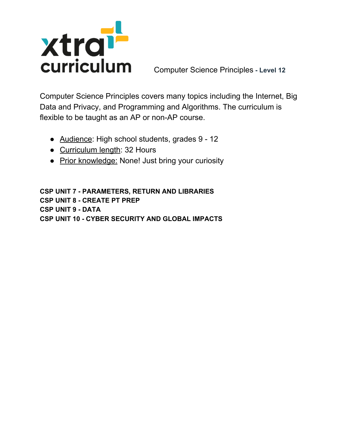

Computer Science Principles **- Level 12**

Computer Science Principles covers many topics including the Internet, Big Data and Privacy, and Programming and Algorithms. The curriculum is flexible to be taught as an AP or non-AP course.

- Audience: High school students, grades 9 12
- Curriculum length: 32 Hours
- Prior knowledge: None! Just bring your curiosity

**CSP UNIT 7 - PARAMETERS, RETURN AND LIBRARIES CSP UNIT 8 - CREATE PT PREP CSP UNIT 9 - DATA CSP UNIT 10 - CYBER SECURITY AND GLOBAL IMPACTS**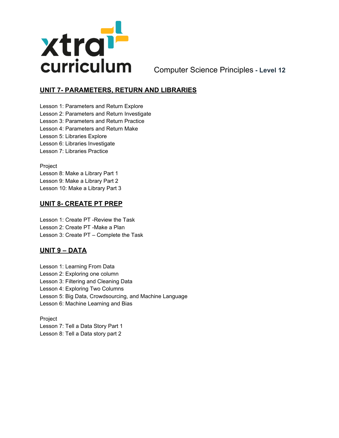

Computer Science Principles **- Level 12**

## **UNIT 7- PARAMETERS, RETURN AND LIBRARIES**

Lesson 1: Parameters and Return Explore Lesson 2: Parameters and Return Investigate Lesson 3: Parameters and Return Practice Lesson 4: Parameters and Return Make Lesson 5: Libraries Explore Lesson 6: Libraries Investigate Lesson 7: Libraries Practice

Project Lesson 8: Make a Library Part 1 Lesson 9: Make a Library Part 2 Lesson 10: Make a Library Part 3

## **UNIT 8- CREATE PT PREP**

Lesson 1: Create PT -Review the Task Lesson 2: Create PT -Make a Plan Lesson 3: Create PT – Complete the Task

## **UNIT 9 – DATA**

Lesson 1: Learning From Data Lesson 2: Exploring one column Lesson 3: Filtering and Cleaning Data Lesson 4: Exploring Two Columns Lesson 5: Big Data, Crowdsourcing, and Machine Language Lesson 6: Machine Learning and Bias

Project Lesson 7: Tell a Data Story Part 1 Lesson 8: Tell a Data story part 2